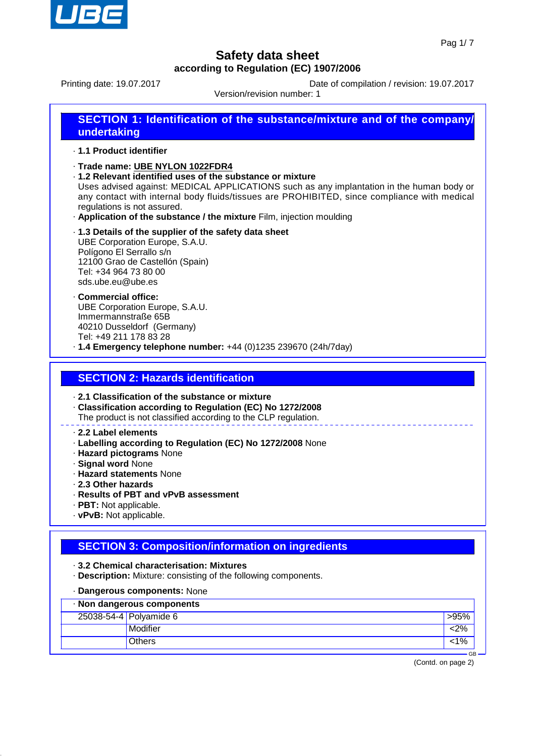

Printing date: 19.07.2017 Date of compilation / revision: 19.07.2017

Version/revision number: 1

# **SECTION 1: Identification of the substance/mixture and of the company/ undertaking**

· **1.1 Product identifier**

- · **Trade name: UBE NYLON 1022FDR4**
- · **1.2 Relevant identified uses of the substance or mixture**

Uses advised against: MEDICAL APPLICATIONS such as any implantation in the human body or any contact with internal body fluids/tissues are PROHIBITED, since compliance with medical regulations is not assured.

- · **Application of the substance / the mixture** Film, injection moulding
- · **1.3 Details of the supplier of the safety data sheet** UBE Corporation Europe, S.A.U. Polígono El Serrallo s/n 12100 Grao de Castellón (Spain) Tel: +34 964 73 80 00 sds.ube.eu@ube.es
- · **Commercial office:** UBE Corporation Europe, S.A.U. Immermannstraße 65B 40210 Dusseldorf (Germany) Tel: +49 211 178 83 28
- · **1.4 Emergency telephone number:** +44 (0)1235 239670 (24h/7day)

### **SECTION 2: Hazards identification**

· **2.1 Classification of the substance or mixture**

· **Classification according to Regulation (EC) No 1272/2008**

The product is not classified according to the CLP regulation.

#### · **2.2 Label elements**

- · **Labelling according to Regulation (EC) No 1272/2008** None
- · **Hazard pictograms** None
- · **Signal word** None
- · **Hazard statements** None
- · **2.3 Other hazards**
- · **Results of PBT and vPvB assessment**
- · **PBT:** Not applicable.
- · **vPvB:** Not applicable.

### **SECTION 3: Composition/information on ingredients**

- · **3.2 Chemical characterisation: Mixtures**
- · **Description:** Mixture: consisting of the following components.
- · **Dangerous components:** None

| · Non dangerous components |                        |        |  |
|----------------------------|------------------------|--------|--|
|                            | 25038-54-4 Polyamide 6 | >95%   |  |
|                            | Modifier               | 2%>    |  |
|                            | <b>Others</b>          | $<$ 1% |  |
| GB.                        |                        |        |  |

(Contd. on page 2)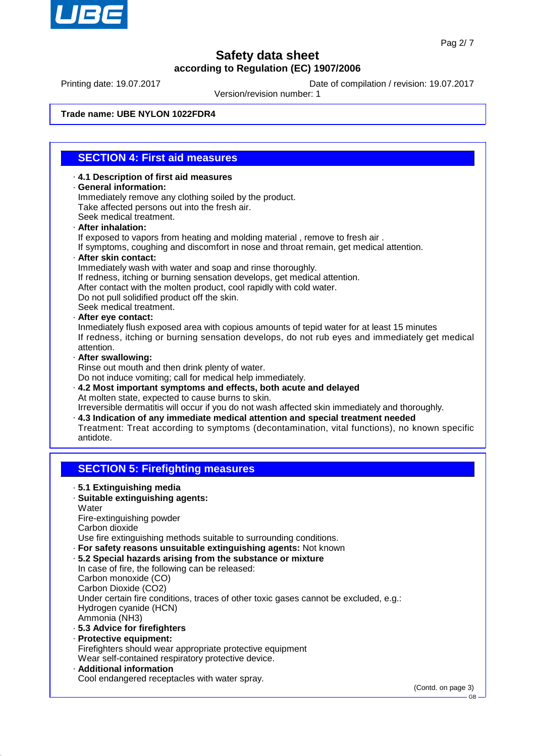

Printing date: 19.07.2017 Date of compilation / revision: 19.07.2017

Version/revision number: 1

#### **Trade name: UBE NYLON 1022FDR4**

#### **SECTION 4: First aid measures**

- · **4.1 Description of first aid measures** · **General information:** Immediately remove any clothing soiled by the product. Take affected persons out into the fresh air. Seek medical treatment. · **After inhalation:**
- 
- If exposed to vapors from heating and molding material , remove to fresh air .

If symptoms, coughing and discomfort in nose and throat remain, get medical attention.

- · **After skin contact:**
	- Immediately wash with water and soap and rinse thoroughly.
- If redness, itching or burning sensation develops, get medical attention.
- After contact with the molten product, cool rapidly with cold water.
- Do not pull solidified product off the skin.
- Seek medical treatment.
- · **After eye contact:**

Inmediately flush exposed area with copious amounts of tepid water for at least 15 minutes If redness, itching or burning sensation develops, do not rub eyes and immediately get medical attention.

· **After swallowing:**

Rinse out mouth and then drink plenty of water.

Do not induce vomiting; call for medical help immediately.

· **4.2 Most important symptoms and effects, both acute and delayed** At molten state, expected to cause burns to skin.

Irreversible dermatitis will occur if you do not wash affected skin immediately and thoroughly. · **4.3 Indication of any immediate medical attention and special treatment needed** Treatment: Treat according to symptoms (decontamination, vital functions), no known specific

antidote.

#### **SECTION 5: Firefighting measures**

- · **5.1 Extinguishing media**
- · **Suitable extinguishing agents:**
- **Water**
- Fire-extinguishing powder
- Carbon dioxide
- Use fire extinguishing methods suitable to surrounding conditions.
- · **For safety reasons unsuitable extinguishing agents:** Not known
- · **5.2 Special hazards arising from the substance or mixture**
- In case of fire, the following can be released: Carbon monoxide (CO) Carbon Dioxide (CO2) Under certain fire conditions, traces of other toxic gases cannot be excluded, e.g.: Hydrogen cyanide (HCN) Ammonia (NH3) · **5.3 Advice for firefighters**
- · **Protective equipment:** Firefighters should wear appropriate protective equipment Wear self-contained respiratory protective device.
- · **Additional information** Cool endangered receptacles with water spray.

(Contd. on page 3)

GB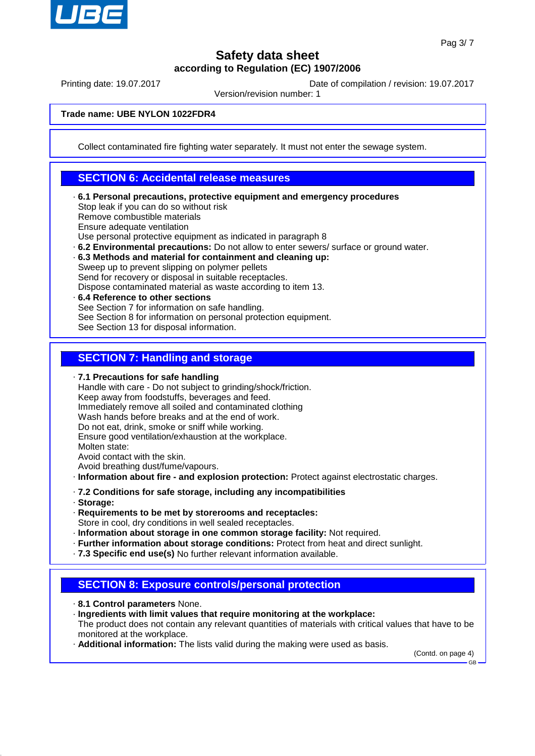

Printing date: 19.07.2017 Date of compilation / revision: 19.07.2017

Version/revision number: 1

**Trade name: UBE NYLON 1022FDR4**

Collect contaminated fire fighting water separately. It must not enter the sewage system.

#### **SECTION 6: Accidental release measures**

- · **6.1 Personal precautions, protective equipment and emergency procedures** Stop leak if you can do so without risk Remove combustible materials Ensure adequate ventilation Use personal protective equipment as indicated in paragraph 8
- · **6.2 Environmental precautions:** Do not allow to enter sewers/ surface or ground water.
- · **6.3 Methods and material for containment and cleaning up:** Sweep up to prevent slipping on polymer pellets

Send for recovery or disposal in suitable receptacles.

- Dispose contaminated material as waste according to item 13.
- · **6.4 Reference to other sections** See Section 7 for information on safe handling. See Section 8 for information on personal protection equipment. See Section 13 for disposal information.

#### **SECTION 7: Handling and storage**

· **7.1 Precautions for safe handling**

Handle with care - Do not subject to grinding/shock/friction. Keep away from foodstuffs, beverages and feed. Immediately remove all soiled and contaminated clothing Wash hands before breaks and at the end of work. Do not eat, drink, smoke or sniff while working. Ensure good ventilation/exhaustion at the workplace. Molten state: Avoid contact with the skin.

Avoid breathing dust/fume/vapours.

- · **Information about fire and explosion protection:** Protect against electrostatic charges.
- · **7.2 Conditions for safe storage, including any incompatibilities**
- · **Storage:**
- · **Requirements to be met by storerooms and receptacles:** Store in cool, dry conditions in well sealed receptacles.
- · **Information about storage in one common storage facility:** Not required.
- · **Further information about storage conditions:** Protect from heat and direct sunlight.
- · **7.3 Specific end use(s)** No further relevant information available.

### **SECTION 8: Exposure controls/personal protection**

- · **8.1 Control parameters** None.
- · **Ingredients with limit values that require monitoring at the workplace:** The product does not contain any relevant quantities of materials with critical values that have to be monitored at the workplace.
- · **Additional information:** The lists valid during the making were used as basis.

(Contd. on page 4)

GB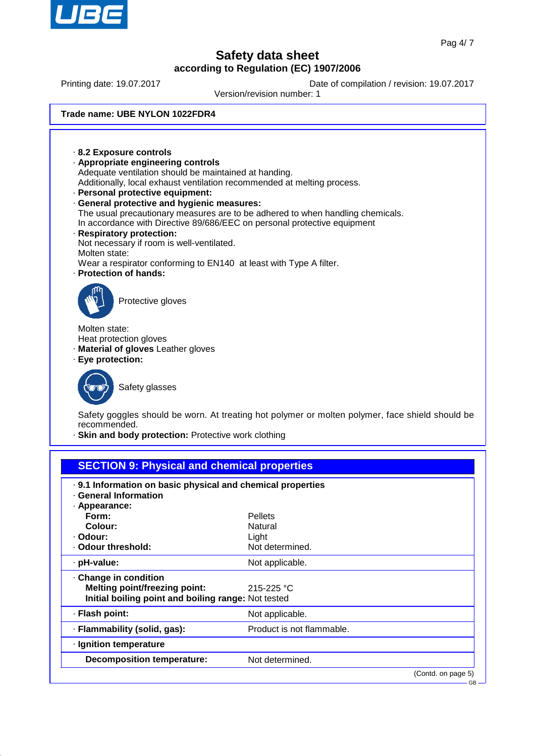

Printing date: 19.07.2017 Date of compilation / revision: 19.07.2017

Version/revision number: 1

#### **Trade name: UBE NYLON 1022FDR4**



· **Flash point:** Not applicable.

**Decomposition temperature:** Not determined.

· **Ignition temperature**

· **Flammability (solid, gas):** Product is not flammable.

(Contd. on page 5)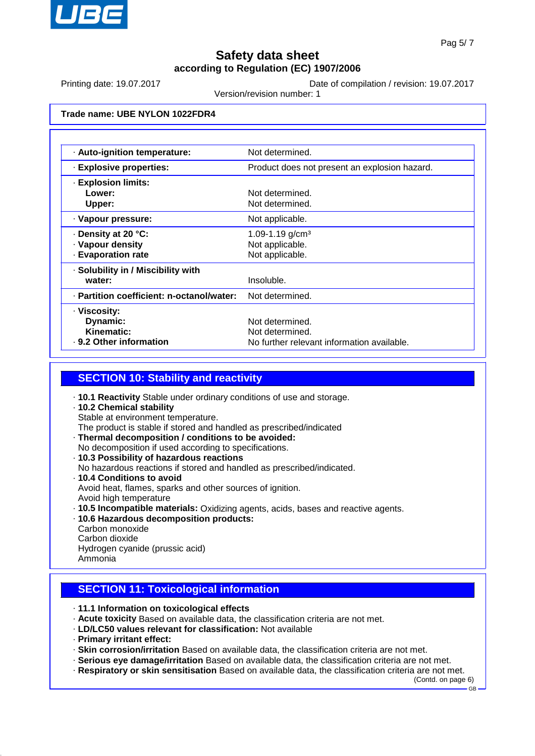

Printing date: 19.07.2017 Date of compilation / revision: 19.07.2017

Version/revision number: 1

#### **Trade name: UBE NYLON 1022FDR4**

| · Auto-ignition temperature:              | Not determined.                               |  |
|-------------------------------------------|-----------------------------------------------|--|
| · Explosive properties:                   | Product does not present an explosion hazard. |  |
| <b>Explosion limits:</b>                  |                                               |  |
| Lower:                                    | Not determined.                               |  |
| Upper:                                    | Not determined.                               |  |
| · Vapour pressure:                        | Not applicable.                               |  |
| Density at 20 °C:                         | 1.09-1.19 $g/cm3$                             |  |
| · Vapour density                          | Not applicable.                               |  |
| · Evaporation rate                        | Not applicable.                               |  |
| · Solubility in / Miscibility with        |                                               |  |
| water:                                    | Insoluble.                                    |  |
| · Partition coefficient: n-octanol/water: | Not determined.                               |  |
| · Viscosity:                              |                                               |  |
| Dynamic:                                  | Not determined.                               |  |
| Kinematic:                                | Not determined.                               |  |
| ⋅ 9.2 Other information                   | No further relevant information available.    |  |

#### **SECTION 10: Stability and reactivity**

- · **10.1 Reactivity** Stable under ordinary conditions of use and storage.
- · **10.2 Chemical stability** Stable at environment temperature. The product is stable if stored and handled as prescribed/indicated
- · **Thermal decomposition / conditions to be avoided:** No decomposition if used according to specifications.
- · **10.3 Possibility of hazardous reactions**
- No hazardous reactions if stored and handled as prescribed/indicated.
- · **10.4 Conditions to avoid** Avoid heat, flames, sparks and other sources of ignition. Avoid high temperature
- · **10.5 Incompatible materials:** Oxidizing agents, acids, bases and reactive agents.
- · **10.6 Hazardous decomposition products:**
- Carbon monoxide Carbon dioxide Hydrogen cyanide (prussic acid) Ammonia

### **SECTION 11: Toxicological information**

- · **11.1 Information on toxicological effects**
- · **Acute toxicity** Based on available data, the classification criteria are not met.
- · **LD/LC50 values relevant for classification:** Not available
- · **Primary irritant effect:**
- · **Skin corrosion/irritation** Based on available data, the classification criteria are not met.
- · **Serious eye damage/irritation** Based on available data, the classification criteria are not met.
- · **Respiratory or skin sensitisation** Based on available data, the classification criteria are not met.

(Contd. on page 6) GB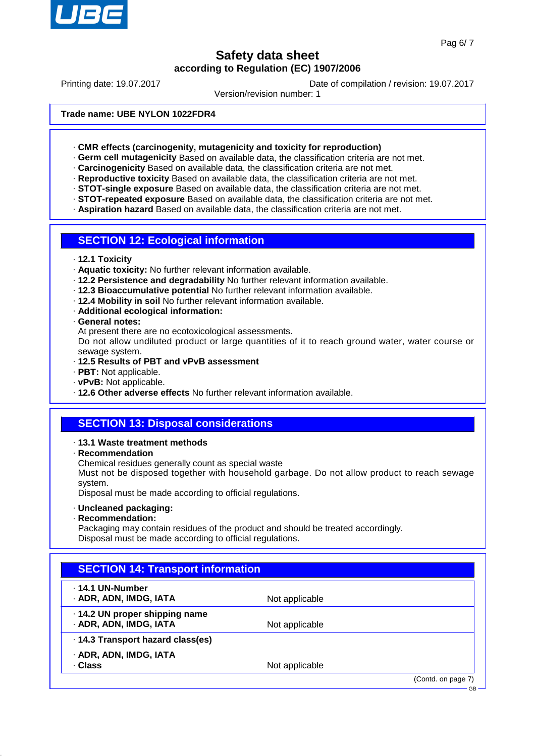

Printing date: 19.07.2017 Date of compilation / revision: 19.07.2017

Version/revision number: 1

**Trade name: UBE NYLON 1022FDR4**

· **CMR effects (carcinogenity, mutagenicity and toxicity for reproduction)**

· **Germ cell mutagenicity** Based on available data, the classification criteria are not met.

· **Carcinogenicity** Based on available data, the classification criteria are not met.

· **Reproductive toxicity** Based on available data, the classification criteria are not met.

· **STOT-single exposure** Based on available data, the classification criteria are not met.

· **STOT-repeated exposure** Based on available data, the classification criteria are not met.

· **Aspiration hazard** Based on available data, the classification criteria are not met.

#### **SECTION 12: Ecological information**

· **12.1 Toxicity**

· **Aquatic toxicity:** No further relevant information available.

- · **12.2 Persistence and degradability** No further relevant information available.
- · **12.3 Bioaccumulative potential** No further relevant information available.
- · **12.4 Mobility in soil** No further relevant information available.
- · **Additional ecological information:**
- · **General notes:**

At present there are no ecotoxicological assessments.

Do not allow undiluted product or large quantities of it to reach ground water, water course or sewage system.

- · **12.5 Results of PBT and vPvB assessment**
- · **PBT:** Not applicable.
- · **vPvB:** Not applicable.
- · **12.6 Other adverse effects** No further relevant information available.

### **SECTION 13: Disposal considerations**

- · **13.1 Waste treatment methods**
- · **Recommendation**
- Chemical residues generally count as special waste

Must not be disposed together with household garbage. Do not allow product to reach sewage system.

Disposal must be made according to official regulations.

- · **Uncleaned packaging:**
- · **Recommendation:**

Packaging may contain residues of the product and should be treated accordingly. Disposal must be made according to official regulations.

| . 14.1 UN-Number                  |                |  |
|-----------------------------------|----------------|--|
| · ADR, ADN, IMDG, IATA            | Not applicable |  |
| .14.2 UN proper shipping name     |                |  |
| · ADR, ADN, IMDG, IATA            | Not applicable |  |
| · 14.3 Transport hazard class(es) |                |  |
| · ADR, ADN, IMDG, IATA            |                |  |
| · Class                           | Not applicable |  |